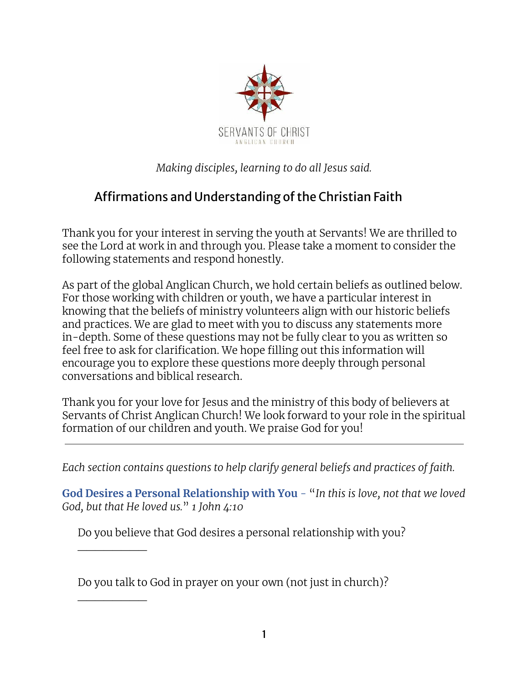

*Making disciples, learning to do all Jesus said.*

## Affirmations and Understanding of the Christian Faith

Thank you for your interest in serving the youth at Servants! We are thrilled to see the Lord at work in and through you. Please take a moment to consider the following statements and respond honestly.

As part of the global Anglican Church, we hold certain beliefs as outlined below. For those working with children or youth, we have a particular interest in knowing that the beliefs of ministry volunteers align with our historic beliefs and practices. We are glad to meet with you to discuss any statements more in-depth. Some of these questions may not be fully clear to you as written so feel free to ask for clarification. We hope filling out this information will encourage you to explore these questions more deeply through personal conversations and biblical research.

Thank you for your love for Jesus and the ministry of this body of believers at Servants of Christ Anglican Church! We look forward to your role in the spiritual formation of our children and youth. We praise God for you!

*Each section contains questions to help clarify general beliefs and practices of faith.*

**God Desires a Personal Relationship with You** - "*In this is love, not that we loved God, but that He loved us.*" *1 John 4:10*

Do you believe that God desires a personal relationship with you?

Do you talk to God in prayer on your own (not just in church)?

 $\overline{\phantom{a}}$ 

 $\overline{\phantom{a}}$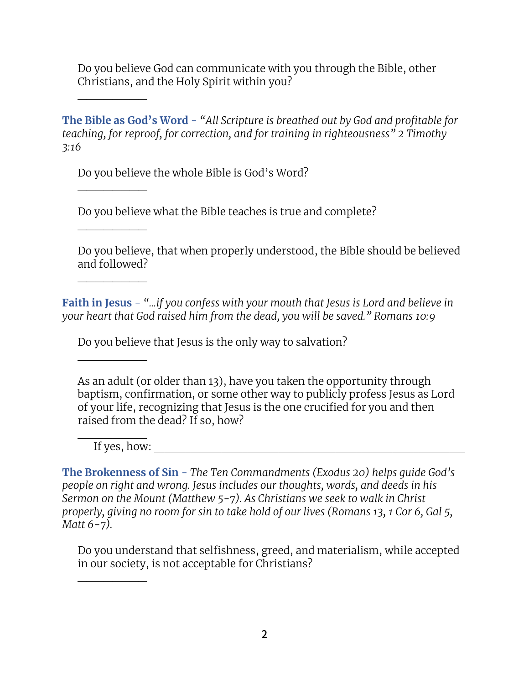Do you believe God can communicate with you through the Bible, other Christians, and the Holy Spirit within you?

**The Bible as God's Word** - *"All Scripture is breathed out by God and profitable for teaching, for reproof, for correction, and for training in righteousness" 2 Timothy 3:16*

Do you believe the whole Bible is God's Word?

Do you believe what the Bible teaches is true and complete?

Do you believe, that when properly understood, the Bible should be believed and followed?

**Faith in Jesus** - *"...if you confess with your mouth that Jesus is Lord and believe in your heart that God raised him from the dead, you will be saved." Romans 10:9*

Do you believe that Jesus is the only way to salvation?

As an adult (or older than 13), have you taken the opportunity through baptism, confirmation, or some other way to publicly profess Jesus as Lord of your life, recognizing that Jesus is the one crucified for you and then raised from the dead? If so, how?

 $\overline{\phantom{a}}$ If yes, how:

 $\overline{\phantom{a}}$ 

 $\overline{\phantom{a}}$ 

 $\overline{\phantom{a}}$ 

 $\overline{\phantom{a}}$ 

 $\overline{\phantom{a}}$ 

 $\overline{\phantom{a}}$ 

**The Brokenness of Sin** - *The Ten Commandments (Exodus 20) helps guide God's people on right and wrong. Jesus includes our thoughts, words, and deeds in his Sermon on the Mount (Matthew 5-7). As Christians we seek to walk in Christ properly, giving no room for sin to take hold of our lives (Romans 13, 1 Cor 6, Gal 5, Matt 6-7).*

Do you understand that selfishness, greed, and materialism, while accepted in our society, is not acceptable for Christians?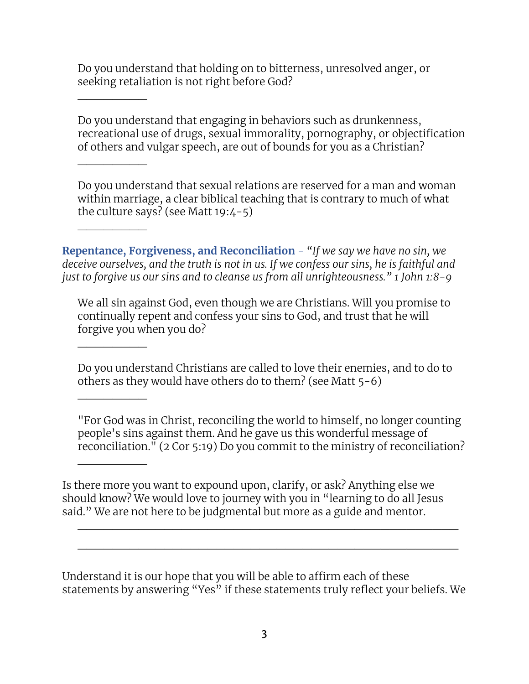Do you understand that holding on to bitterness, unresolved anger, or seeking retaliation is not right before God?

 $\overline{\phantom{a}}$ 

 $\overline{\phantom{a}}$ 

 $\overline{\phantom{a}}$ 

 $\overline{\phantom{a}}$ 

 $\overline{\phantom{a}}$ 

 $\overline{\phantom{a}}$ 

Do you understand that engaging in behaviors such as drunkenness, recreational use of drugs, sexual immorality, pornography, or objectification of others and vulgar speech, are out of bounds for you as a Christian?

Do you understand that sexual relations are reserved for a man and woman within marriage, a clear biblical teaching that is contrary to much of what the culture says? (see Matt  $19:4-5$ )

**Repentance, Forgiveness, and Reconciliation** - *"If we say we have no sin, we deceive ourselves, and the truth is not in us. If we confess our sins, he is faithful and just to forgive us our sins and to cleanse us from all unrighteousness." 1 John 1:8-9*

We all sin against God, even though we are Christians. Will you promise to continually repent and confess your sins to God, and trust that he will forgive you when you do?

Do you understand Christians are called to love their enemies, and to do to others as they would have others do to them? (see Matt 5-6)

"For God was in Christ, reconciling the world to himself, no longer counting people's sins against them. And he gave us this wonderful message of reconciliation." (2 Cor 5:19) Do you commit to the ministry of reconciliation?

Is there more you want to expound upon, clarify, or ask? Anything else we should know? We would love to journey with you in "learning to do all Jesus said." We are not here to be judgmental but more as a guide and mentor.

Understand it is our hope that you will be able to affirm each of these statements by answering "Yes" if these statements truly reflect your beliefs. We

\_\_\_\_\_\_\_\_\_\_\_\_\_\_\_\_\_\_\_\_\_\_\_\_\_\_\_\_\_\_\_\_\_\_\_\_\_\_\_\_\_\_\_\_

\_\_\_\_\_\_\_\_\_\_\_\_\_\_\_\_\_\_\_\_\_\_\_\_\_\_\_\_\_\_\_\_\_\_\_\_\_\_\_\_\_\_\_\_